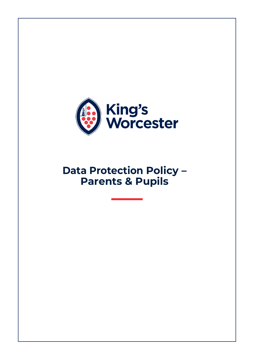

# **Data Protection Policy – Parents & Pupils**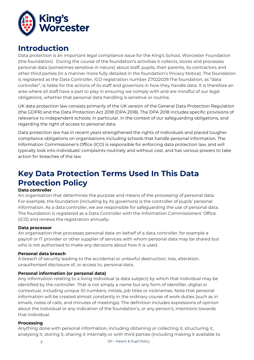

### **Introduction**

Data protection is an important legal compliance issue for the King's School, Worcester Foundation (the foundation). During the course of the foundation's activities it collects, stores and processes personal data (sometimes sensitive in nature) about staff, pupils, their parents, its contractors and other third parties (in a manner more fully detailed in the foundation's Privacy Notice). The foundation is registered as the Data Controller, ICO registration number Z7022029.The foundation, as "data controller", is liable for the actions of its staff and governors in how they handle data. It is therefore an area where all staff have a part to play in ensuring we comply with and are mindful of our legal obligations, whether that personal data handling is sensitive or routine.

UK data protection law consists primarily of the UK version of the General Data Protection Regulation (the GDPR) and the Data Protection Act 2018 (DPA 2018). The DPA 2018 includes specific provisions of relevance to independent schools: in particular, in the context of our safeguarding obligations, and regarding the right of access to personal data.

Data protection law has in recent years strengthened the rights of individuals and placed tougher compliance obligations on organisations including schools that handle personal information. The Information Commissioner's Office (ICO) is responsible for enforcing data protection law, and will typically look into individuals' complaints routinely and without cost, and has various powers to take action for breaches of the law

# **Key Data Protection Terms Used In This Data Protection Policy**

#### **Data controller**

An organisation that determines the purpose and means of the processing of personal data. For example, the foundation (including by its governors) is the controller of pupils' personal information. As a data controller, we are responsible for safeguarding the use of personal data. The foundation is registered as a Data Controller with the Information Commissioners' Office (ICO) and renews the registration annually.

#### **Data processor**

An organisation that processes personal data on behalf of a data controller, for example a payroll or IT provider or other supplier of services with whom personal data may be shared but who is not authorised to make any decisions about how it is used.

#### **Personal data breach**

A breach of security leading to the accidental or unlawful destruction, loss, alteration, unauthorised disclosure of, or access to, personal data.

#### **Personal information (or personal data)**

Any information relating to a living individual (a data subject) by which that individual may be identified by the controller. That is not simply a name but any form of identifier, digital or contextual, including unique ID numbers, initials, job titles or nicknames. Note that personal information will be created almost constantly in the ordinary course of work duties (such as in emails, notes of calls, and minutes of meetings). The definition includes expressions of opinion about the individual or any indication of the foundation's, or any person's, intentions towards that individual.

#### **Processing**

Anything done with personal information, including obtaining or collecting it, structuring it, analysing it, storing it, sharing it internally or with third parties (including making it available to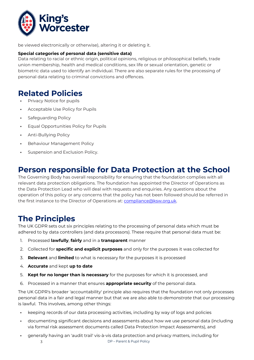

be viewed electronically or otherwise), altering it or deleting it.

#### **Special categories of personal data (sensitive data)**

Data relating to racial or ethnic origin, political opinions, religious or philosophical beliefs, trade union membership, health and medical conditions, sex life or sexual orientation, genetic or biometric data used to identify an individual. There are also separate rules for the processing of personal data relating to criminal convictions and offences.

### **Related Policies**

- **•** Privacy Notice for pupils
- **•** Acceptable Use Policy for Pupils
- **•** Safeguarding Policy
- **•** Equal Opportunities Policy for Pupils
- **•** Anti-Bullying Policy
- **•** Behaviour Management Policy
- **•** Suspension and Exclusion Policy.

#### **Person responsible for Data Protection at the School**

The Governing Body has overall responsibility for ensuring that the foundation complies with all relevant data protection obligations. The foundation has appointed the Director of Operations as the Data Protection Lead who will deal with requests and enquiries. Any questions about the operation of this policy or any concerns that the policy has not been followed should be referred in the first instance to the Director of Operations at: [compliance@ksw.org.uk.](mailto:compliance@ksw.org.uk)

# **The Principles**

The UK GDPR sets out six principles relating to the processing of personal data which must be adhered to by data controllers (and data processors). These require that personal data must be:

- 1. Processed **lawfully**, **fairly** and in a **transparent** manner
- 2. Collected for **specific and explicit purposes** and only for the purposes it was collected for
- 3. **Relevant** and **limited** to what is necessary for the purposes it is processed
- 4. **Accurate** and kept **up to date**
- 5. **Kept for no longer than is necessary** for the purposes for which it is processed, and
- 6. Processed in a manner that ensures **appropriate security** of the personal data.

The UK GDPR's broader 'accountability' principle also requires that the foundation not only processes personal data in a fair and legal manner but that we are also able to *demonstrate* that our processing is lawful. This involves, among other things:

- **•** keeping records of our data processing activities, including by way of logs and policies
- **•** documenting significant decisions and assessments about how we use personal data (including via formal risk assessment documents called Data Protection Impact Assessments), and
- 3 DP Parent & Pupil Policy **•** generally having an 'audit trail' vis-à-vis data protection and privacy matters, including for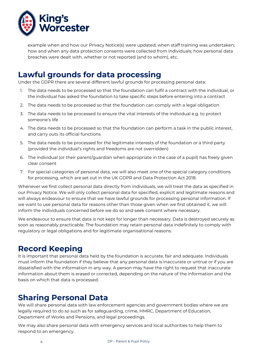

example when and how our Privacy Notice(s) were updated; when staff training was undertaken; how and when any data protection consents were collected from individuals; how personal data breaches were dealt with, whether or not reported (and to whom), etc.

# **Lawful grounds for data processing**

Under the GDPR there are several different lawful grounds for processing personal data:

- 1. The data needs to be processed so that the foundation can fulfil a contract with the individual, or the individual has asked the foundation to take specific steps before entering into a contract
- 2. The data needs to be processed so that the foundation can comply with a legal obligation
- 3. The data needs to be processed to ensure the vital interests of the individual e.g. to protect someone's life
- 4. The data needs to be processed so that the foundation can perform a task in the public interest, and carry outs its official functions
- 5. The data needs to be processed for the legitimate interests of the foundation or a third party (provided the individual's rights and freedoms are not overridden)
- 6. The individual (or their parent/guardian when appropriate in the case of a pupil) has freely given clear consent
- 7. For special categories of personal data, we will also meet one of the special category conditions for processing, which are set out in the UK GDPR and Data Protection Act 2018.

Whenever we first collect personal data directly from individuals, we will treat the data as specified in our Privacy Notice. We will only collect personal data for specified, explicit and legitimate reasons and will always endeavour to ensure that we have lawful grounds for processing personal information. If we want to use personal data for reasons other than those given when we first obtained it, we will inform the individuals concerned before we do so and seek consent where necessary.

We endeavour to ensure that data is not kept for longer than necessary. Data is destroyed securely as soon as reasonably practicable. The foundation may retain personal data indefinitely to comply with regulatory or legal obligations and for legitimate organisational reasons.

### **Record Keeping**

It is important that personal data held by the foundation is accurate, fair and adequate. Individuals must inform the foundation if they believe that any personal data is inaccurate or untrue or if you are dissatisfied with the information in any way. A person may have the right to request that inaccurate information about them is erased or corrected, depending on the nature of the information and the basis on which that data is processed.

### **Sharing Personal Data**

We will share personal data with law enforcement agencies and government bodies where we are legally required to do so such as for safeguarding, crime, HMRC, Department of Education, Department of Works and Pensions, and legal proceedings.

We may also share personal data with emergency services and local authorities to help them to respond to an emergency.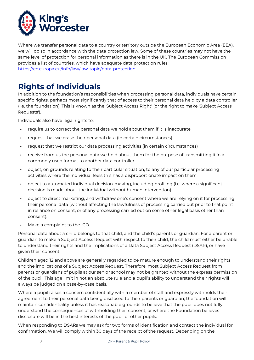

Where we transfer personal data to a country or territory outside the European Economic Area (EEA), we will do so in accordance with the data protection law. Some of these countries may not have the same level of protection for personal information as there is in the UK. The European Commission provides a list of countries, which have adequate data protection rules: <https://ec.europa.eu/info/law/law-topic/data-protection>

# **Rights of Individuals**

In addition to the foundation's responsibilities when processing personal data, individuals have certain specific rights, perhaps most significantly that of access to their personal data held by a data controller (i.e. the foundation). This is known as the 'Subject Access Right' (or the right to make 'Subject Access Requests').

Individuals also have legal rights to:

- **•** require us to correct the personal data we hold about them if it is inaccurate
- **•** request that we erase their personal data (in certain circumstances)
- **•** request that we restrict our data processing activities (in certain circumstances)
- **•** receive from us the personal data we hold about them for the purpose of transmitting it in a commonly used format to another data controller
- **•** object, on grounds relating to their particular situation, to any of our particular processing activities where the individual feels this has a disproportionate impact on them.
- **•** object to automated individual decision-making, including profiling (i.e. where a significant decision is made about the individual without human intervention)
- **•** object to direct marketing, and withdraw one's consent where we are relying on it for processing their personal data (without affecting the lawfulness of processing carried out prior to that point in reliance on consent, or of any processing carried out on some other legal basis other than consent).
- **•** Make a complaint to the ICO.

Personal data about a child belongs to that child, and the child's parents or guardian. For a parent or guardian to make a Subject Access Request with respect to their child, the child must either be unable to understand their rights and the implications of a Data Subject Access Request (DSAR), or have given their consent.

Children aged 12 and above are generally regarded to be mature enough to understand their rights and the implications of a Subject Access Request. Therefore, most Subject Access Request from parents or guardians of pupils at our senior school may not be granted without the express permission of the pupil. This age limit in not an absolute rule and a pupil's ability to understand their rights will always be judged on a case-by-case basis.

Where a pupil raises a concern confidentially with a member of staff and expressly withholds their agreement to their personal data being disclosed to their parents or guardian; the foundation will maintain confidentiality unless it has reasonable grounds to believe that the pupil does not fully understand the consequences of withholding their consent, or where the Foundation believes disclosure will be in the best interests of the pupil or other pupils.

When responding to DSARs we may ask for two forms of identification and contact the individual for confirmation. We will comply within 30 days of the receipt of the request. Depending on the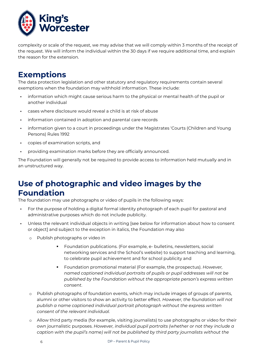

complexity or scale of the request, we may advise that we will comply within 3 months of the receipt of the request. We will inform the individual within the 30 days if we require additional time, and explain the reason for the extension.

# **Exemptions**

The data protection legislation and other statutory and regulatory requirements contain several exemptions when the foundation may withhold information. These include:

- **•** information which might cause serious harm to the physical or mental health of the pupil or another individual
- **•** cases where disclosure would reveal a child is at risk of abuse
- **•** information contained in adoption and parental care records
- **•** information given to a court in proceedings under the Magistrates 'Courts (Children and Young Persons) Rules 1992
- **•** copies of examination scripts, and
- **•** providing examination marks before they are officially announced.

The Foundation will generally not be required to provide access to information held mutually and in an unstructured way.

# **Use of photographic and video images by the Foundation**

The foundation may use photographs or video of pupils in the following ways:

- **•** For the purpose of holding a digital formal identity photograph of each pupil for pastoral and administrative purposes which do not include publicity.
- **•** Unless the relevant individual objects in writing [see below for information about how to consent or object] and subject to the exception in italics, the Foundation may also
	- o Publish photographs or video in
		- Foundation publications. (For example, e- bulletins, newsletters, social networking services and the School's website) to support teaching and learning, to celebrate pupil achievement and for school publicity and
		- Foundation promotional material (For example, the prospectus). *However, named captioned individual portraits of pupils or pupil addresses will not be published by the Foundation without the appropriate person's express written consent*.
	- o Publish photographs of foundation events, which may include images of groups of parents, alumni or other visitors to show an activity to better effect. *However, the foundation will not publish a name captioned individual portrait photograph without the express written consent of the relevant individual.*
	- o Allow third party media (for example, visiting journalists) to use photographs or video for their own journalistic purposes. *However, individual pupil portraits (whether or not they include a caption with the pupil's name) will not be published by third party journalists without the*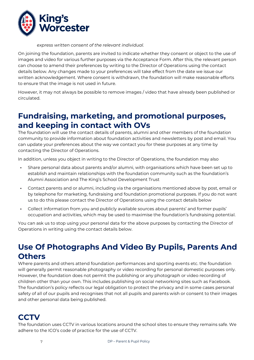

*express written consent of the relevant individual.*

On joining the foundation, parents are invited to indicate whether they consent or object to the use of images and video for various further purposes via the Acceptance Form. After this, the relevant person can choose to amend their preferences by writing to the Director of Operations using the contact details below. Any changes made to your preferences will take effect from the date we issue our written acknowledgement. Where consent is withdrawn, the foundation will make reasonable efforts to ensure that the image is not used in future.

However, it may not always be possible to remove images / video that have already been published or circulated.

# **Fundraising, marketing, and promotional purposes, and keeping in contact with OVs**

The foundation will use the contact details of parents, alumni and other members of the foundation community to provide information about foundation activities and newsletters by post and email. You can update your preferences about the way we contact you for these purposes at any time by contacting the Director of Operations.

In addition, unless you object in writing to the Director of Operations, the foundation may also

- **•** Share personal data about parents and/or alumni, with organisations which have been set up to establish and maintain relationships with the foundation community such as the foundation's Alumni Association and The King's School Development Trust
- **•** Contact parents and or alumni, including via the organisations mentioned above by post, email or by telephone for marketing, fundraising and foundation promotional purposes. If you do not want us to do this please contact the Director of Operations using the contact details below
- **•** Collect information from you and publicly available sources about parents' and former pupils' occupation and activities, which may be used to maximise the foundation's fundraising potential.

You can ask us to stop using your personal data for the above purposes by contacting the Director of Operations in writing using the contact details below.

# **Use Of Photographs And Video By Pupils, Parents And Others**

Where parents and others attend foundation performances and sporting events etc. the foundation will generally permit reasonable photography or video recording for personal domestic purposes only. However, the foundation does not permit the publishing or any photograph or video recording of children other than your own. This includes publishing on social networking sites such as Facebook. The foundation's policy reflects our legal obligation to protect the privacy and in some cases personal safety of all of our pupils and recognises that not all pupils and parents wish or consent to their images and other personal data being published.

# **CCTV**

The foundation uses CCTV in various locations around the school sites to ensure they remains safe. We adhere to the ICO's code of practice for the use of CCTV.